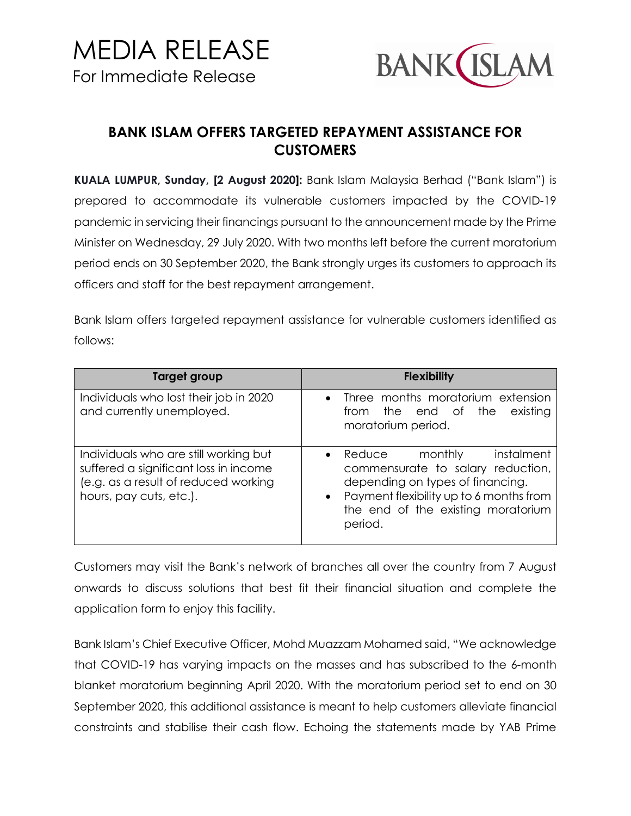

## **BANK ISLAM OFFERS TARGETED REPAYMENT ASSISTANCE FOR CUSTOMERS**

**KUALA LUMPUR, Sunday, [2 August 2020]:** Bank Islam Malaysia Berhad ("Bank Islam") is prepared to accommodate its vulnerable customers impacted by the COVID-19 pandemic in servicing their financings pursuant to the announcement made by the Prime Minister on Wednesday, 29 July 2020. With two months left before the current moratorium period ends on 30 September 2020, the Bank strongly urges its customers to approach its officers and staff for the best repayment arrangement.

Bank Islam offers targeted repayment assistance for vulnerable customers identified as follows:

| Target group                                                                                                                                      | <b>Flexibility</b>                                                                                                                                                                                                          |
|---------------------------------------------------------------------------------------------------------------------------------------------------|-----------------------------------------------------------------------------------------------------------------------------------------------------------------------------------------------------------------------------|
| Individuals who lost their job in 2020<br>and currently unemployed.                                                                               | • Three months moratorium extension<br>from the end of the<br>existing<br>moratorium period.                                                                                                                                |
| Individuals who are still working but<br>suffered a significant loss in income<br>(e.g. as a result of reduced working<br>hours, pay cuts, etc.). | instalment<br>$\bullet$ Reduce<br>monthly<br>commensurate to salary reduction,<br>depending on types of financing.<br>Payment flexibility up to 6 months from<br>$\bullet$<br>the end of the existing moratorium<br>period. |

Customers may visit the Bank's network of branches all over the country from 7 August onwards to discuss solutions that best fit their financial situation and complete the application form to enjoy this facility.

Bank Islam's Chief Executive Officer, Mohd Muazzam Mohamed said, "We acknowledge that COVID-19 has varying impacts on the masses and has subscribed to the 6-month blanket moratorium beginning April 2020. With the moratorium period set to end on 30 September 2020, this additional assistance is meant to help customers alleviate financial constraints and stabilise their cash flow. Echoing the statements made by YAB Prime